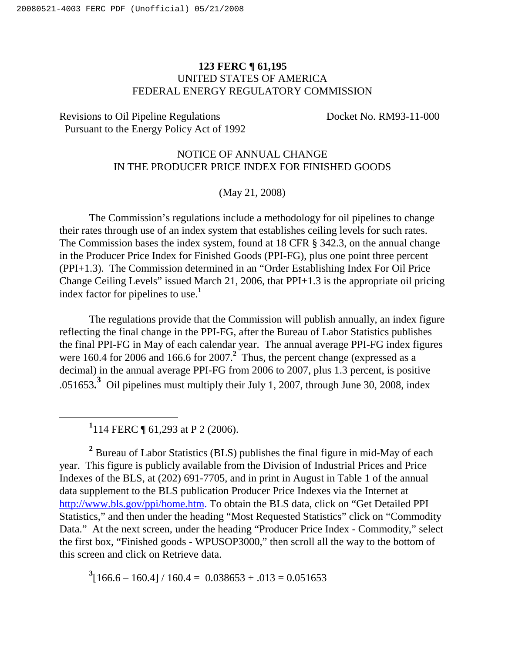## **123 FERC ¶ 61,195** UNITED STATES OF AMERICA FEDERAL ENERGY REGULATORY COMMISSION

Revisions to Oil Pipeline Regulations Docket No. RM93-11-000 Pursuant to the Energy Policy Act of 1992

## NOTICE OF ANNUAL CHANGE IN THE PRODUCER PRICE INDEX FOR FINISHED GOODS

(May 21, 2008)

The Commission's regulations include a methodology for oil pipelines to change their rates through use of an index system that establishes ceiling levels for such rates. The Commission bases the index system, found at 18 CFR § 342.3, on the annual change in the Producer Price Index for Finished Goods (PPI-FG), plus one point three percent (PPI+1.3). The Commission determined in an "Order Establishing Index For Oil Price Change Ceiling Levels" issued March 21, 2006, that PPI+1.3 is the appropriate oil pricing index factor for pipelines to use. **1**

The regulations provide that the Commission will publish annually, an index figure reflecting the final change in the PPI-FG, after the Bureau of Labor Statistics publishes the final PPI-FG in May of each calendar year. The annual average PPI-FG index figures were 160.4 for 2006 and 166.6 for 2007.<sup>2</sup> Thus, the percent change (expressed as a decimal) in the annual average PPI-FG from 2006 to 2007, plus 1.3 percent, is positive .051653**. <sup>3</sup>** Oil pipelines must multiply their July 1, 2007, through June 30, 2008, index

**1** 114 FERC ¶ 61,293 at P 2 (2006).

**<sup>2</sup>** Bureau of Labor Statistics (BLS) publishes the final figure in mid-May of each year. This figure is publicly available from the Division of Industrial Prices and Price Indexes of the BLS, at (202) 691-7705, and in print in August in Table 1 of the annual data supplement to the BLS publication Producer Price Indexes via the Internet at http://www.bls.gov/ppi/home.htm. To obtain the BLS data, click on "Get Detailed PPI Statistics," and then under the heading "Most Requested Statistics" click on "Commodity Data." At the next screen, under the heading "Producer Price Index - Commodity," select the first box, "Finished goods - WPUSOP3000," then scroll all the way to the bottom of this screen and click on Retrieve data.

 $3[166.6 - 160.4] / 160.4 = 0.038653 + .013 = 0.051653$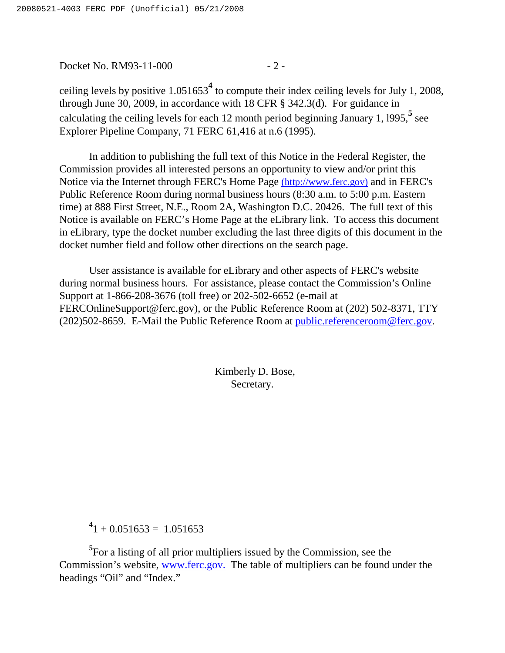Docket No. RM93-11-000 - 2 -

ceiling levels by positive 1.051653 **<sup>4</sup>** to compute their index ceiling levels for July 1, 2008, through June 30, 2009, in accordance with 18 CFR § 342.3(d). For guidance in calculating the ceiling levels for each 12 month period beginning January 1, l995, **5** see Explorer Pipeline Company, 71 FERC 61,416 at n.6 (1995).

In addition to publishing the full text of this Notice in the Federal Register, the Commission provides all interested persons an opportunity to view and/or print this Notice via the Internet through FERC's Home Page (http://www.ferc.gov) and in FERC's Public Reference Room during normal business hours (8:30 a.m. to 5:00 p.m. Eastern time) at 888 First Street, N.E., Room 2A, Washington D.C. 20426. The full text of this Notice is available on FERC's Home Page at the eLibrary link. To access this document in eLibrary, type the docket number excluding the last three digits of this document in the docket number field and follow other directions on the search page.

User assistance is available for eLibrary and other aspects of FERC's website during normal business hours. For assistance, please contact the Commission's Online Support at 1-866-208-3676 (toll free) or 202-502-6652 (e-mail at FERCOnlineSupport@ferc.gov), or the Public Reference Room at (202) 502-8371, TTY (202)502-8659. E-Mail the Public Reference Room at public.referenceroom@ferc.gov.

> Kimberly D. Bose, Secretary.

 $^{4}$ 1 + 0.051653 = 1.051653

**<sup>5</sup>** For a listing of all prior multipliers issued by the Commission, see the Commission's website, www.ferc.gov. The table of multipliers can be found under the headings "Oil" and "Index."